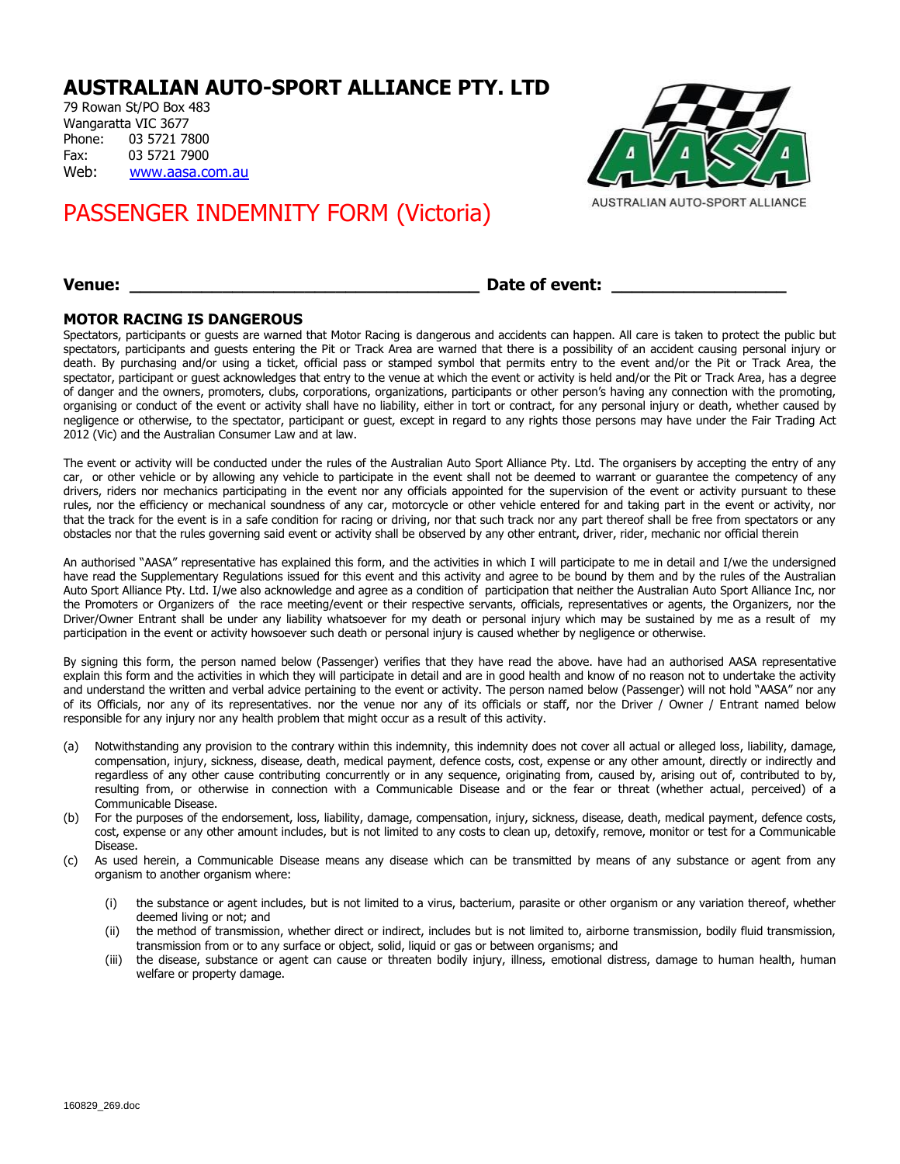## **AUSTRALIAN AUTO-SPORT ALLIANCE PTY. LTD**

79 Rowan St/PO Box 483 Wangaratta VIC 3677 Phone: 03 5721 7800 Fax: 03 5721 7900 Web: [www.aasa.com.au](http://www.aasa.com.au/)

# PASSENGER INDEMNITY FORM (Victoria)



AUSTRALIAN AUTO-SPORT ALLIANCE

### **Venue: \_\_\_\_\_\_\_\_\_\_\_\_\_\_\_\_\_\_\_\_\_\_\_\_\_\_\_\_\_\_\_\_\_\_ Date of event: \_\_\_\_\_\_\_\_\_\_\_\_\_\_\_\_\_**

### **MOTOR RACING IS DANGEROUS**

Spectators, participants or guests are warned that Motor Racing is dangerous and accidents can happen. All care is taken to protect the public but spectators, participants and guests entering the Pit or Track Area are warned that there is a possibility of an accident causing personal injury or death. By purchasing and/or using a ticket, official pass or stamped symbol that permits entry to the event and/or the Pit or Track Area, the spectator, participant or guest acknowledges that entry to the venue at which the event or activity is held and/or the Pit or Track Area, has a degree of danger and the owners, promoters, clubs, corporations, organizations, participants or other person's having any connection with the promoting, organising or conduct of the event or activity shall have no liability, either in tort or contract, for any personal injury or death, whether caused by negligence or otherwise, to the spectator, participant or guest, except in regard to any rights those persons may have under the Fair Trading Act 2012 (Vic) and the Australian Consumer Law and at law.

The event or activity will be conducted under the rules of the Australian Auto Sport Alliance Pty. Ltd. The organisers by accepting the entry of any car, or other vehicle or by allowing any vehicle to participate in the event shall not be deemed to warrant or guarantee the competency of any drivers, riders nor mechanics participating in the event nor any officials appointed for the supervision of the event or activity pursuant to these rules, nor the efficiency or mechanical soundness of any car, motorcycle or other vehicle entered for and taking part in the event or activity, nor that the track for the event is in a safe condition for racing or driving, nor that such track nor any part thereof shall be free from spectators or any obstacles nor that the rules governing said event or activity shall be observed by any other entrant, driver, rider, mechanic nor official therein

An authorised "AASA" representative has explained this form, and the activities in which I will participate to me in detail and I/we the undersigned have read the Supplementary Regulations issued for this event and this activity and agree to be bound by them and by the rules of the Australian Auto Sport Alliance Pty. Ltd. I/we also acknowledge and agree as a condition of participation that neither the Australian Auto Sport Alliance Inc, nor the Promoters or Organizers of the race meeting/event or their respective servants, officials, representatives or agents, the Organizers, nor the Driver/Owner Entrant shall be under any liability whatsoever for my death or personal injury which may be sustained by me as a result of my participation in the event or activity howsoever such death or personal injury is caused whether by negligence or otherwise.

By signing this form, the person named below (Passenger) verifies that they have read the above. have had an authorised AASA representative explain this form and the activities in which they will participate in detail and are in good health and know of no reason not to undertake the activity and understand the written and verbal advice pertaining to the event or activity. The person named below (Passenger) will not hold "AASA" nor any of its Officials, nor any of its representatives. nor the venue nor any of its officials or staff, nor the Driver / Owner / Entrant named below responsible for any injury nor any health problem that might occur as a result of this activity.

- (a) Notwithstanding any provision to the contrary within this indemnity, this indemnity does not cover all actual or alleged loss, liability, damage, compensation, injury, sickness, disease, death, medical payment, defence costs, cost, expense or any other amount, directly or indirectly and regardless of any other cause contributing concurrently or in any sequence, originating from, caused by, arising out of, contributed to by, resulting from, or otherwise in connection with a Communicable Disease and or the fear or threat (whether actual, perceived) of a Communicable Disease.
- (b) For the purposes of the endorsement, loss, liability, damage, compensation, injury, sickness, disease, death, medical payment, defence costs, cost, expense or any other amount includes, but is not limited to any costs to clean up, detoxify, remove, monitor or test for a Communicable Disease.
- (c) As used herein, a Communicable Disease means any disease which can be transmitted by means of any substance or agent from any organism to another organism where:
	- (i) the substance or agent includes, but is not limited to a virus, bacterium, parasite or other organism or any variation thereof, whether deemed living or not; and
	- (ii) the method of transmission, whether direct or indirect, includes but is not limited to, airborne transmission, bodily fluid transmission, transmission from or to any surface or object, solid, liquid or gas or between organisms; and
	- (iii) the disease, substance or agent can cause or threaten bodily injury, illness, emotional distress, damage to human health, human welfare or property damage.